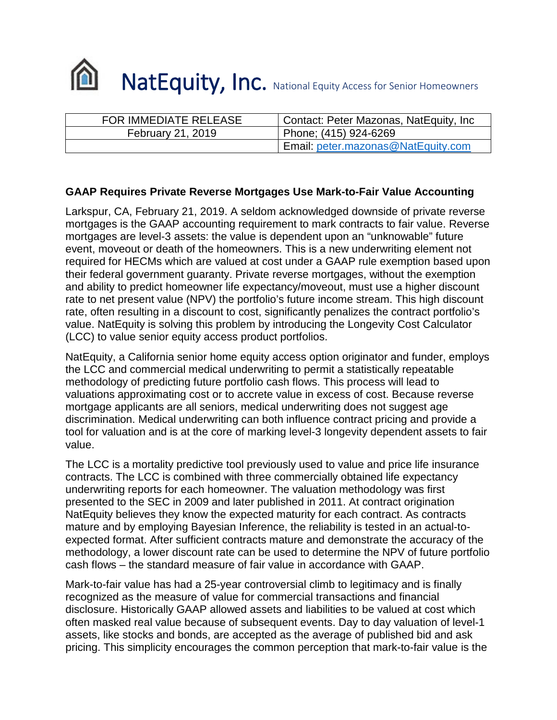

| <b>FOR IMMEDIATE RELEASE</b> | Contact: Peter Mazonas, NatEquity, Inc |
|------------------------------|----------------------------------------|
| February 21, 2019            | Phone; (415) 924-6269                  |
|                              | Email: peter.mazonas@NatEquity.com     |

## **GAAP Requires Private Reverse Mortgages Use Mark-to-Fair Value Accounting**

Larkspur, CA, February 21, 2019. A seldom acknowledged downside of private reverse mortgages is the GAAP accounting requirement to mark contracts to fair value. Reverse mortgages are level-3 assets: the value is dependent upon an "unknowable" future event, moveout or death of the homeowners. This is a new underwriting element not required for HECMs which are valued at cost under a GAAP rule exemption based upon their federal government guaranty. Private reverse mortgages, without the exemption and ability to predict homeowner life expectancy/moveout, must use a higher discount rate to net present value (NPV) the portfolio's future income stream. This high discount rate, often resulting in a discount to cost, significantly penalizes the contract portfolio's value. NatEquity is solving this problem by introducing the Longevity Cost Calculator (LCC) to value senior equity access product portfolios.

NatEquity, a California senior home equity access option originator and funder, employs the LCC and commercial medical underwriting to permit a statistically repeatable methodology of predicting future portfolio cash flows. This process will lead to valuations approximating cost or to accrete value in excess of cost. Because reverse mortgage applicants are all seniors, medical underwriting does not suggest age discrimination. Medical underwriting can both influence contract pricing and provide a tool for valuation and is at the core of marking level-3 longevity dependent assets to fair value.

The LCC is a mortality predictive tool previously used to value and price life insurance contracts. The LCC is combined with three commercially obtained life expectancy underwriting reports for each homeowner. The valuation methodology was first presented to the SEC in 2009 and later published in 2011. At contract origination NatEquity believes they know the expected maturity for each contract. As contracts mature and by employing Bayesian Inference, the reliability is tested in an actual-toexpected format. After sufficient contracts mature and demonstrate the accuracy of the methodology, a lower discount rate can be used to determine the NPV of future portfolio cash flows – the standard measure of fair value in accordance with GAAP.

Mark-to-fair value has had a 25-year controversial climb to legitimacy and is finally recognized as the measure of value for commercial transactions and financial disclosure. Historically GAAP allowed assets and liabilities to be valued at cost which often masked real value because of subsequent events. Day to day valuation of level-1 assets, like stocks and bonds, are accepted as the average of published bid and ask pricing. This simplicity encourages the common perception that mark-to-fair value is the